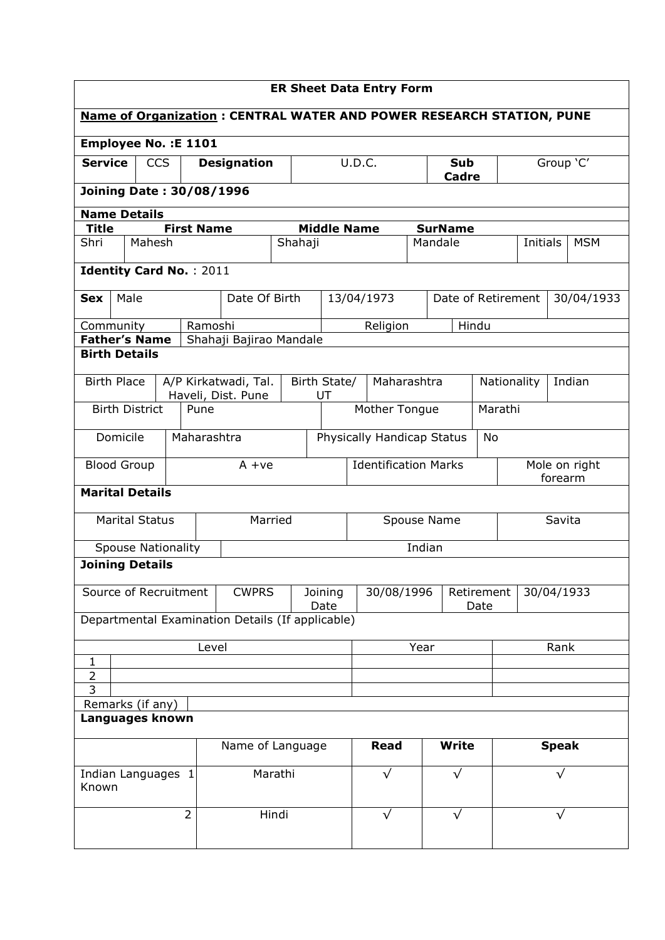| <b>ER Sheet Data Entry Form</b>  |                  |                           |  |                                            |                                                                             |         |                             |                                  |                                  |             |  |                     |                       |           |               |            |
|----------------------------------|------------------|---------------------------|--|--------------------------------------------|-----------------------------------------------------------------------------|---------|-----------------------------|----------------------------------|----------------------------------|-------------|--|---------------------|-----------------------|-----------|---------------|------------|
|                                  |                  |                           |  |                                            | <b>Name of Organization: CENTRAL WATER AND POWER RESEARCH STATION, PUNE</b> |         |                             |                                  |                                  |             |  |                     |                       |           |               |            |
|                                  |                  |                           |  | Employee No. : E 1101                      |                                                                             |         |                             |                                  |                                  |             |  |                     |                       |           |               |            |
| <b>Service</b>                   |                  | <b>CCS</b>                |  |                                            | <b>Designation</b>                                                          |         |                             |                                  | U.D.C.                           |             |  | <b>Sub</b><br>Cadre |                       | Group 'C' |               |            |
|                                  |                  |                           |  | <b>Joining Date: 30/08/1996</b>            |                                                                             |         |                             |                                  |                                  |             |  |                     |                       |           |               |            |
| <b>Name Details</b>              |                  |                           |  |                                            |                                                                             |         |                             |                                  |                                  |             |  |                     |                       |           |               |            |
| <b>Title</b>                     |                  |                           |  | <b>First Name</b>                          |                                                                             |         |                             | <b>Middle Name</b>               |                                  |             |  | <b>SurName</b>      |                       |           |               |            |
| Shri                             |                  | Mahesh                    |  |                                            |                                                                             |         | Shahaji                     |                                  |                                  |             |  | Mandale             |                       | Initials  |               | <b>MSM</b> |
|                                  |                  |                           |  | <b>Identity Card No.: 2011</b>             |                                                                             |         |                             |                                  |                                  |             |  |                     |                       |           |               |            |
| <b>Sex</b>                       | Male             |                           |  |                                            | Date Of Birth                                                               |         |                             | 13/04/1973<br>Date of Retirement |                                  |             |  |                     |                       |           |               | 30/04/1933 |
| Community                        |                  |                           |  | Ramoshi                                    |                                                                             |         |                             |                                  |                                  | Religion    |  |                     | Hindu                 |           |               |            |
| <b>Father's Name</b>             |                  |                           |  |                                            | Shahaji Bajirao Mandale                                                     |         |                             |                                  |                                  |             |  |                     |                       |           |               |            |
| <b>Birth Details</b>             |                  |                           |  |                                            |                                                                             |         |                             |                                  |                                  |             |  |                     |                       |           |               |            |
| <b>Birth Place</b>               |                  |                           |  | A/P Kirkatwadi, Tal.<br>Haveli, Dist. Pune |                                                                             |         | Birth State/<br>UT          |                                  | Maharashtra                      |             |  |                     | Indian<br>Nationality |           |               |            |
|                                  |                  | <b>Birth District</b>     |  | Pune                                       |                                                                             |         |                             | Mother Tongue                    |                                  |             |  |                     | Marathi               |           |               |            |
|                                  | Domicile         |                           |  | Maharashtra                                |                                                                             |         | Physically Handicap Status  |                                  |                                  |             |  | No                  |                       |           |               |            |
| <b>Blood Group</b>               |                  |                           |  |                                            | $A + ve$                                                                    |         | <b>Identification Marks</b> |                                  |                                  |             |  |                     |                       | forearm   | Mole on right |            |
| <b>Marital Details</b>           |                  |                           |  |                                            |                                                                             |         |                             |                                  |                                  |             |  |                     |                       |           |               |            |
|                                  |                  | <b>Marital Status</b>     |  |                                            |                                                                             | Married |                             |                                  |                                  |             |  | Spouse Name         |                       |           | Savita        |            |
|                                  |                  | <b>Spouse Nationality</b> |  |                                            |                                                                             |         |                             | Indian                           |                                  |             |  |                     |                       |           |               |            |
| <b>Joining Details</b>           |                  |                           |  |                                            |                                                                             |         |                             |                                  |                                  |             |  |                     |                       |           |               |            |
| Source of Recruitment            |                  |                           |  |                                            | <b>CWPRS</b>                                                                |         |                             | Joining<br>Date                  | 30/08/1996<br>Retirement<br>Date |             |  |                     | 30/04/1933            |           |               |            |
|                                  |                  |                           |  |                                            | Departmental Examination Details (If applicable)                            |         |                             |                                  |                                  |             |  |                     |                       |           |               |            |
|                                  |                  |                           |  | Level                                      |                                                                             |         |                             |                                  | Year                             |             |  |                     |                       | Rank      |               |            |
| 1                                |                  |                           |  |                                            |                                                                             |         |                             |                                  |                                  |             |  |                     |                       |           |               |            |
| $\overline{2}$<br>$\overline{3}$ |                  |                           |  |                                            |                                                                             |         |                             |                                  |                                  |             |  |                     |                       |           |               |            |
|                                  | Remarks (if any) |                           |  |                                            |                                                                             |         |                             |                                  |                                  |             |  |                     |                       |           |               |            |
| Languages known                  |                  |                           |  |                                            |                                                                             |         |                             |                                  |                                  |             |  |                     |                       |           |               |            |
|                                  |                  |                           |  |                                            | Name of Language                                                            |         |                             |                                  |                                  | <b>Read</b> |  | <b>Write</b>        |                       |           | <b>Speak</b>  |            |
| Indian Languages 1<br>Known      |                  |                           |  |                                            |                                                                             | Marathi |                             |                                  |                                  | $\sqrt{}$   |  | $\sqrt{}$           |                       | $\sqrt{}$ |               |            |
|                                  |                  |                           |  | $\overline{2}$                             |                                                                             | Hindi   |                             |                                  |                                  | $\sqrt{}$   |  | $\sqrt{}$           |                       |           | √             |            |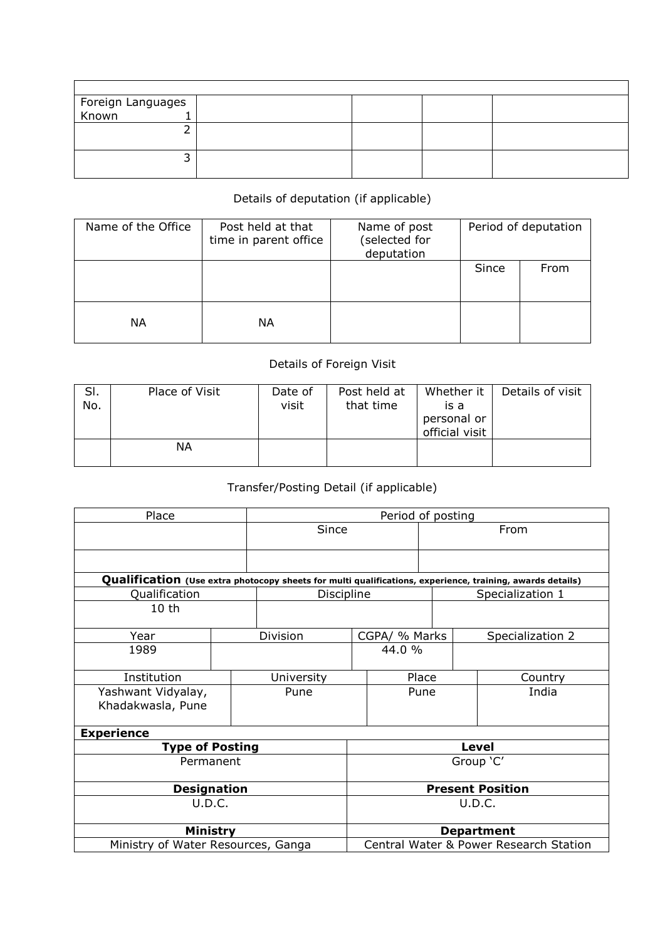| Foreign Languages<br>Known 1 |  |  |
|------------------------------|--|--|
|                              |  |  |
|                              |  |  |
|                              |  |  |
|                              |  |  |
|                              |  |  |

## Details of deputation (if applicable)

| Name of the Office | Post held at that<br>time in parent office | Name of post<br>(selected for<br>deputation | Period of deputation |      |  |
|--------------------|--------------------------------------------|---------------------------------------------|----------------------|------|--|
|                    |                                            |                                             | Since                | From |  |
| ΝA                 | ΝA                                         |                                             |                      |      |  |

## Details of Foreign Visit

| SI.<br>No. | Place of Visit | Date of<br>visit | Post held at<br>that time | Whether it<br>is a<br>personal or<br>official visit | Details of visit |
|------------|----------------|------------------|---------------------------|-----------------------------------------------------|------------------|
|            | ΝA             |                  |                           |                                                     |                  |

## Transfer/Posting Detail (if applicable)

| Place                                   |            | Period of posting                      |  |                                                                                                           |  |  |
|-----------------------------------------|------------|----------------------------------------|--|-----------------------------------------------------------------------------------------------------------|--|--|
|                                         | Since      |                                        |  | From                                                                                                      |  |  |
|                                         |            |                                        |  |                                                                                                           |  |  |
|                                         |            |                                        |  | Qualification (Use extra photocopy sheets for multi qualifications, experience, training, awards details) |  |  |
| Qualification                           | Discipline |                                        |  | Specialization 1                                                                                          |  |  |
| 10 <sub>th</sub>                        |            |                                        |  |                                                                                                           |  |  |
| Year                                    | Division   | CGPA/ % Marks                          |  | Specialization 2                                                                                          |  |  |
| 1989                                    |            | 44.0 %                                 |  |                                                                                                           |  |  |
| Institution                             | University | Place                                  |  | Country                                                                                                   |  |  |
| Yashwant Vidyalay,<br>Khadakwasla, Pune | Pune       | Pune                                   |  | India                                                                                                     |  |  |
| <b>Experience</b>                       |            |                                        |  |                                                                                                           |  |  |
| <b>Type of Posting</b>                  |            | <b>Level</b>                           |  |                                                                                                           |  |  |
| Permanent                               |            | Group 'C'                              |  |                                                                                                           |  |  |
| <b>Designation</b>                      |            | <b>Present Position</b>                |  |                                                                                                           |  |  |
| U.D.C.                                  |            | U.D.C.                                 |  |                                                                                                           |  |  |
| Ministry                                |            | <b>Department</b>                      |  |                                                                                                           |  |  |
| Ministry of Water Resources, Ganga      |            | Central Water & Power Research Station |  |                                                                                                           |  |  |